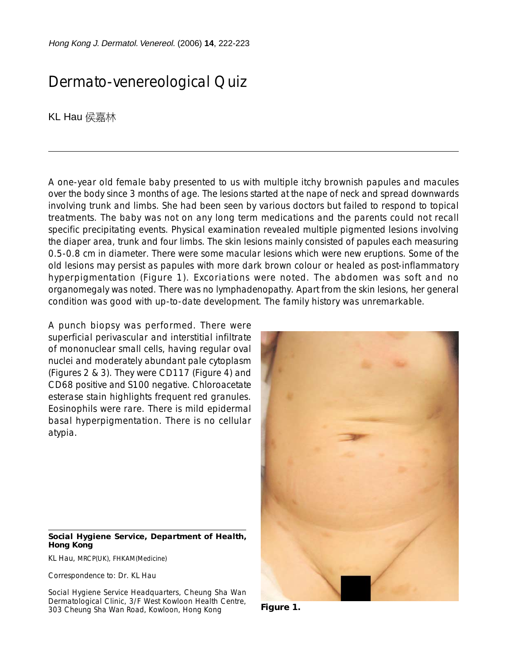Hong Kong J. Dermatol. Venereol. (2006) **14**, 222-223

## Dermato-venereological Quiz

KL Hau 侯嘉林

A one-year old female baby presented to us with multiple itchy brownish papules and macules over the body since 3 months of age. The lesions started at the nape of neck and spread downwards involving trunk and limbs. She had been seen by various doctors but failed to respond to topical treatments. The baby was not on any long term medications and the parents could not recall specific precipitating events. Physical examination revealed multiple pigmented lesions involving the diaper area, trunk and four limbs. The skin lesions mainly consisted of papules each measuring 0.5-0.8 cm in diameter. There were some macular lesions which were new eruptions. Some of the old lesions may persist as papules with more dark brown colour or healed as post-inflammatory hyperpigmentation (Figure 1). Excoriations were noted. The abdomen was soft and no organomegaly was noted. There was no lymphadenopathy. Apart from the skin lesions, her general condition was good with up-to-date development. The family history was unremarkable.

A punch biopsy was performed. There were superficial perivascular and interstitial infiltrate of mononuclear small cells, having regular oval nuclei and moderately abundant pale cytoplasm (Figures 2 & 3). They were CD117 (Figure 4) and CD68 positive and S100 negative. Chloroacetate esterase stain highlights frequent red granules. Eosinophils were rare. There is mild epidermal basal hyperpigmentation. There is no cellular atypia.



## **Social Hygiene Service, Department of Health, Hong Kong**

KL Hau, MRCP(UK), FHKAM(Medicine)

Correspondence to: Dr. KL Hau

Social Hygiene Service Headquarters, Cheung Sha Wan Dermatological Clinic, 3/F West Kowloon Health Centre, 303 Cheung Sha Wan Road, Kowloon, Hong Kong

**Figure 1.**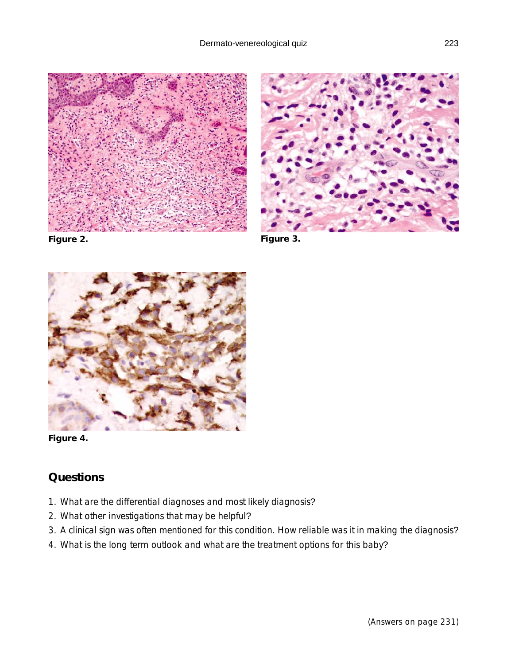





**Figure 2.**

**Figure 3.**



**Figure 4.**

## **Questions**

- 1. What are the differential diagnoses and most likely diagnosis?
- 2. What other investigations that may be helpful?
- 3. A clinical sign was often mentioned for this condition. How reliable was it in making the diagnosis?
- 4. What is the long term outlook and what are the treatment options for this baby?